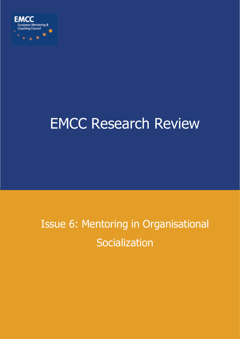

# EMCC Research Review

# Issue 6: Mentoring in Organisational **Socialization**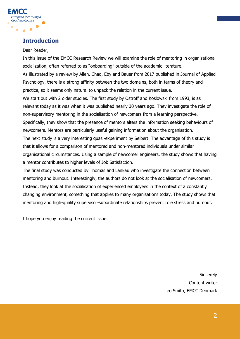

# **Introduction**

#### Dear Reader,

In this issue of the EMCC Research Review we will examine the role of mentoring in organisational socialization, often referred to as "onboarding" outside of the academic literature. As illustrated by a review by Allen, Chao, Eby and Bauer from 2017 published in Journal of Applied Psychology, there is a strong affinity between the two domains, both in terms of theory and practice, so it seems only natural to unpack the relation in the current issue. We start out with 2 older studies. The first study by Ostroff and Koslowski from 1993, is as relevant today as it was when it was published nearly 30 years ago. They investigate the role of non-supervisory mentoring in the socialisation of newcomers from a learning perspective. Specifically, they show that the presence of mentors alters the information seeking behaviours of newcomers. Mentors are particularly useful gaining information about the organisation. The next study is a very interesting quasi-experiment by Seibert. The advantage of this study is that it allows for a comparison of mentored and non-mentored individuals under similar organisational circumstances. Using a sample of newcomer engineers, the study shows that having a mentor contributes to higher levels of Job Satisfaction.

The final study was conducted by Thomas and Lankau who investigate the connection between mentoring and burnout. Interestingly, the authors do not look at the socialisation of newcomers, Instead, they look at the socialisation of experienced employees in the context of a constantly changing environment, something that applies to many organisations today. The study shows that mentoring and high-quality supervisor-subordinate relationships prevent role stress and burnout.

I hope you enjoy reading the current issue.

**Sincerely** Content writer Leo Smith, EMCC Denmark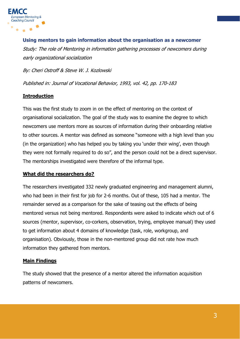

**Using mentors to gain information about the organisation as a newcomer** Study: The role of Mentoring in information gathering processes of newcomers during early organizational socialization

By: Cheri Ostroff & Steve W. J. Kozlowski

Published in: Journal of Vocational Behavior, 1993, vol. 42, pp. 170-183

# **Introduction**

This was the first study to zoom in on the effect of mentoring on the context of organisational socialization. The goal of the study was to examine the degree to which newcomers use mentors more as sources of information during their onboarding relative to other sources. A mentor was defined as someone "someone with a high level than you (in the organization) who has helped you by taking you 'under their wing', even though they were not formally required to do so", and the person could not be a direct supervisor. The mentorships investigated were therefore of the informal type.

# **What did the researchers do?**

The researchers investigated 332 newly graduated engineering and management alumni, who had been in their first for job for 2-6 months. Out of these, 105 had a mentor. The remainder served as a comparison for the sake of teasing out the effects of being mentored versus not being mentored. Respondents were asked to indicate which out of 6 sources (mentor, supervisor, co-corkers, observation, trying, employee manual) they used to get information about 4 domains of knowledge (task, role, workgroup, and organisation). Obviously, those in the non-mentored group did not rate how much information they gathered from mentors.

# **Main Findings**

The study showed that the presence of a mentor altered the information acquisition patterns of newcomers.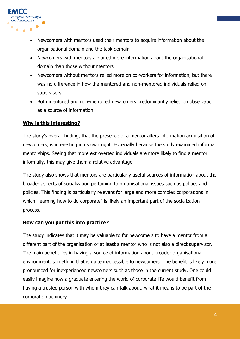

- Newcomers with mentors used their mentors to acquire information about the organisational domain and the task domain
- Newcomers with mentors acquired more information about the organisational domain than those without mentors
- Newcomers without mentors relied more on co-workers for information, but there was no difference in how the mentored and non-mentored individuals relied on supervisors
- Both mentored and non-mentored newcomers predominantly relied on observation as a source of information

# **Why is this interesting?**

The study's overall finding, that the presence of a mentor alters information acquisition of newcomers, is interesting in its own right. Especially because the study examined informal mentorships. Seeing that more extroverted individuals are more likely to find a mentor informally, this may give them a relative advantage.

The study also shows that mentors are particularly useful sources of information about the broader aspects of socialization pertaining to organisational issues such as politics and policies. This finding is particularly relevant for large and more complex corporations in which "learning how to do corporate" is likely an important part of the socialization process.

# **How can you put this into practice?**

The study indicates that it may be valuable to for newcomers to have a mentor from a different part of the organisation or at least a mentor who is not also a direct supervisor. The main benefit lies in having a source of information about broader organisational environment, something that is quite inaccessible to newcomers. The benefit is likely more pronounced for inexperienced newcomers such as those in the current study. One could easily imagine how a graduate entering the world of corporate life would benefit from having a trusted person with whom they can talk about, what it means to be part of the corporate machinery.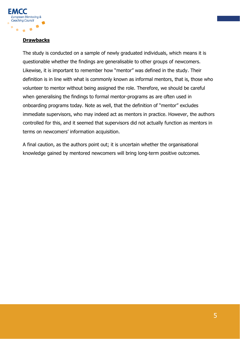

# **Drawbacks**

The study is conducted on a sample of newly graduated individuals, which means it is questionable whether the findings are generalisable to other groups of newcomers. Likewise, it is important to remember how "mentor" was defined in the study. Their definition is in line with what is commonly known as informal mentors, that is, those who volunteer to mentor without being assigned the role. Therefore, we should be careful when generalising the findings to formal mentor-programs as are often used in onboarding programs today. Note as well, that the definition of "mentor" excludes immediate supervisors, who may indeed act as mentors in practice. However, the authors controlled for this, and it seemed that supervisors did not actually function as mentors in terms on newcomers' information acquisition.

A final caution, as the authors point out; it is uncertain whether the organisational knowledge gained by mentored newcomers will bring long-term positive outcomes.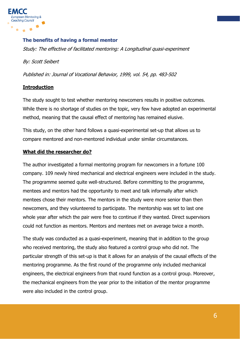

#### **The benefits of having a formal mentor**

Study: The effective of facilitated mentoring: A Longitudinal quasi-experiment

By: Scott Seibert

Published in: Journal of Vocational Behavior, 1999, vol. 54, pp. 483-502

# **Introduction**

The study sought to test whether mentoring newcomers results in positive outcomes. While there is no shortage of studies on the topic, very few have adopted an experimental method, meaning that the causal effect of mentoring has remained elusive.

This study, on the other hand follows a quasi-experimental set-up that allows us to compare mentored and non-mentored individual under similar circumstances.

#### **What did the researcher do?**

The author investigated a formal mentoring program for newcomers in a fortune 100 company. 109 newly hired mechanical and electrical engineers were included in the study. The programme seemed quite well-structured. Before committing to the programme, mentees and mentors had the opportunity to meet and talk informally after which mentees chose their mentors. The mentors in the study were more senior than then newcomers, and they volunteered to participate. The mentorship was set to last one whole year after which the pair were free to continue if they wanted. Direct supervisors could not function as mentors. Mentors and mentees met on average twice a month.

The study was conducted as a quasi-experiment, meaning that in addition to the group who received mentoring, the study also featured a control group who did not. The particular strength of this set-up is that it allows for an analysis of the causal effects of the mentoring programme. As the first round of the programme only included mechanical engineers, the electrical engineers from that round function as a control group. Moreover, the mechanical engineers from the year prior to the initiation of the mentor programme were also included in the control group.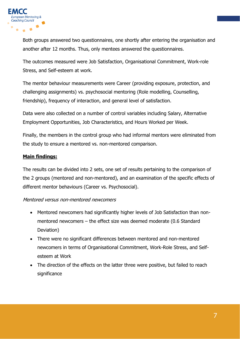

Both groups answered two questionnaires, one shortly after entering the organisation and another after 12 months. Thus, only mentees answered the questionnaires.

The outcomes measured were Job Satisfaction, Organisational Commitment, Work-role Stress, and Self-esteem at work.

The mentor behaviour measurements were Career (providing exposure, protection, and challenging assignments) vs. psychosocial mentoring (Role modelling, Counselling, friendship), frequency of interaction, and general level of satisfaction.

Data were also collected on a number of control variables including Salary, Alternative Employment Opportunities, Job Characteristics, and Hours Worked per Week.

Finally, the members in the control group who had informal mentors were eliminated from the study to ensure a mentored vs. non-mentored comparison.

# **Main findings:**

The results can be divided into 2 sets, one set of results pertaining to the comparison of the 2 groups (mentored and non-mentored), and an examination of the specific effects of different mentor behaviours (Career vs. Psychosocial).

#### Mentored versus non-mentored newcomers

- Mentored newcomers had significantly higher levels of Job Satisfaction than nonmentored newcomers – the effect size was deemed moderate (0.6 Standard Deviation)
- There were no significant differences between mentored and non-mentored newcomers in terms of Organisational Commitment, Work-Role Stress, and Selfesteem at Work
- The direction of the effects on the latter three were positive, but failed to reach significance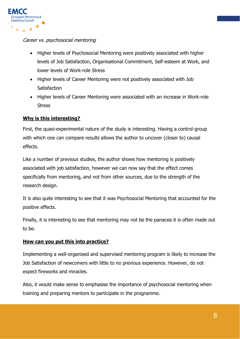

#### Career vs. psychosocial mentoring

- Higher levels of Psychosocial Mentoring were positively associated with higher levels of Job Satisfaction, Organisational Commitment, Self-esteem at Work, and lower levels of Work-role Stress
- Higher levels of Career Mentoring were not positively associated with Job **Satisfaction**
- Higher levels of Career Mentoring were associated with an increase in Work-role Stress

# **Why is this interesting?**

First, the quasi-experimental nature of the study is interesting. Having a control-group with which one can compare results allows the author to uncover (closer to) causal effects.

Like a number of previous studies, the author shows how mentoring is positively associated with job satisfaction, however we can now say that the effect comes specifically from mentoring, and not from other sources, due to the strength of the research design.

It is also quite interesting to see that it was Psychosocial Mentoring that accounted for the positive effects.

Finally, it is interesting to see that mentoring may not be the panacea it is often made out to be.

# **How can you put this into practice?**

Implementing a well-organised and supervised mentoring program is likely to increase the Job Satisfaction of newcomers with little to no previous experience. However, do not expect fireworks and miracles.

Also, it would make sense to emphasise the importance of psychosocial mentoring when training and preparing mentors to participate in the programme.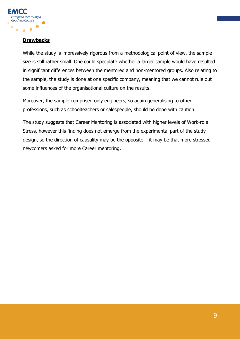

# **Drawbacks**

While the study is impressively rigorous from a methodological point of view, the sample size is still rather small. One could speculate whether a larger sample would have resulted in significant differences between the mentored and non-mentored groups. Also relating to the sample, the study is done at one specific company, meaning that we cannot rule out some influences of the organisational culture on the results.

Moreover, the sample comprised only engineers, so again generalising to other professions, such as schoolteachers or salespeople, should be done with caution.

The study suggests that Career Mentoring is associated with higher levels of Work-role Stress, however this finding does not emerge from the experimental part of the study design, so the direction of causality may be the opposite  $-$  it may be that more stressed newcomers asked for more Career mentoring.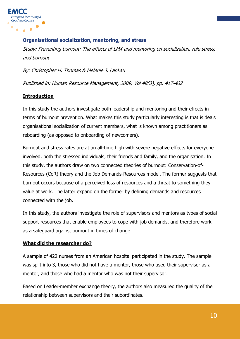

# **Organisational socialization, mentoring, and stress**

Study: Preventing burnout: The effects of LMX and mentoring on socialization, role stress, and burnout

By: Christopher H. Thomas & Melenie J. Lankau

Published in: Human Resource Management, 2009, Vol 48(3), pp. 417-432

# **Introduction**

In this study the authors investigate both leadership and mentoring and their effects in terms of burnout prevention. What makes this study particularly interesting is that is deals organisational socialization of current members, what is known among practitioners as reboarding (as opposed to onboarding of newcomers).

Burnout and stress rates are at an all-time high with severe negative effects for everyone involved, both the stressed individuals, their friends and family, and the organisation. In this study, the authors draw on two connected theories of burnout: Conservation-of-Resources (CoR) theory and the Job Demands-Resources model. The former suggests that burnout occurs because of a perceived loss of resources and a threat to something they value at work. The latter expand on the former by defining demands and resources connected with the job.

In this study, the authors investigate the role of supervisors and mentors as types of social support resources that enable employees to cope with job demands, and therefore work as a safeguard against burnout in times of change.

# **What did the researcher do?**

A sample of 422 nurses from an American hospital participated in the study. The sample was split into 3, those who did not have a mentor, those who used their supervisor as a mentor, and those who had a mentor who was not their supervisor.

Based on Leader-member exchange theory, the authors also measured the quality of the relationship between supervisors and their subordinates.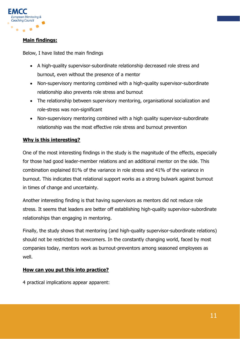

# **Main findings:**

Below, I have listed the main findings

- A high-quality supervisor-subordinate relationship decreased role stress and burnout, even without the presence of a mentor
- Non-supervisory mentoring combined with a high-quality supervisor-subordinate relationship also prevents role stress and burnout
- The relationship between supervisory mentoring, organisational socialization and role-stress was non-significant
- Non-supervisory mentoring combined with a high quality supervisor-subordinate relationship was the most effective role stress and burnout prevention

# **Why is this interesting?**

One of the most interesting findings in the study is the magnitude of the effects, especially for those had good leader-member relations and an additional mentor on the side. This combination explained 81% of the variance in role stress and 41% of the variance in burnout. This indicates that relational support works as a strong bulwark against burnout in times of change and uncertainty.

Another interesting finding is that having supervisors as mentors did not reduce role stress. It seems that leaders are better off establishing high-quality supervisor-subordinate relationships than engaging in mentoring.

Finally, the study shows that mentoring (and high-quality supervisor-subordinate relations) should not be restricted to newcomers. In the constantly changing world, faced by most companies today, mentors work as burnout-preventors among seasoned employees as well.

# **How can you put this into practice?**

4 practical implications appear apparent: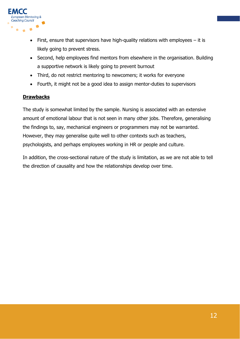

- First, ensure that supervisors have high-quality relations with employees it is likely going to prevent stress.
- Second, help employees find mentors from elsewhere in the organisation. Building a supportive network is likely going to prevent burnout
- Third, do not restrict mentoring to newcomers; it works for everyone
- Fourth, it might not be a good idea to assign mentor-duties to supervisors

# **Drawbacks**

The study is somewhat limited by the sample. Nursing is associated with an extensive amount of emotional labour that is not seen in many other jobs. Therefore, generalising the findings to, say, mechanical engineers or programmers may not be warranted. However, they may generalise quite well to other contexts such as teachers, psychologists, and perhaps employees working in HR or people and culture.

In addition, the cross-sectional nature of the study is limitation, as we are not able to tell the direction of causality and how the relationships develop over time.